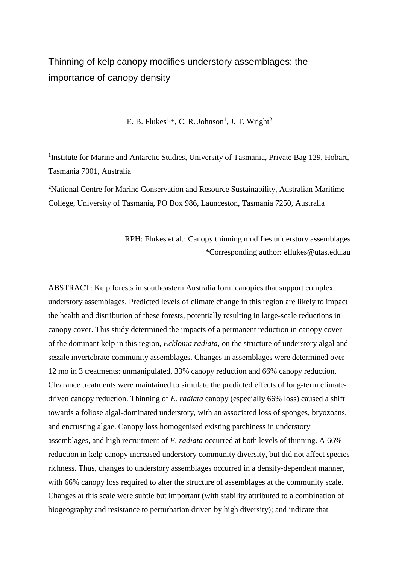## Thinning of kelp canopy modifies understory assemblages: the importance of canopy density

E. B. Flukes<sup>1,\*</sup>, C. R. Johnson<sup>1</sup>, J. T. Wright<sup>2</sup>

<sup>1</sup>Institute for Marine and Antarctic Studies, University of Tasmania, Private Bag 129, Hobart, Tasmania 7001, Australia

<sup>2</sup>National Centre for Marine Conservation and Resource Sustainability, Australian Maritime College, University of Tasmania, PO Box 986, Launceston, Tasmania 7250, Australia

> RPH: Flukes et al.: Canopy thinning modifies understory assemblages \*Corresponding author: eflukes@utas.edu.au

ABSTRACT: Kelp forests in southeastern Australia form canopies that support complex understory assemblages. Predicted levels of climate change in this region are likely to impact the health and distribution of these forests, potentially resulting in large-scale reductions in canopy cover. This study determined the impacts of a permanent reduction in canopy cover of the dominant kelp in this region, *Ecklonia radiata*, on the structure of understory algal and sessile invertebrate community assemblages. Changes in assemblages were determined over 12 mo in 3 treatments: unmanipulated, 33% canopy reduction and 66% canopy reduction. Clearance treatments were maintained to simulate the predicted effects of long-term climatedriven canopy reduction. Thinning of *E. radiata* canopy (especially 66% loss) caused a shift towards a foliose algal-dominated understory, with an associated loss of sponges, bryozoans, and encrusting algae. Canopy loss homogenised existing patchiness in understory assemblages, and high recruitment of *E. radiata* occurred at both levels of thinning. A 66% reduction in kelp canopy increased understory community diversity, but did not affect species richness. Thus, changes to understory assemblages occurred in a density-dependent manner, with 66% canopy loss required to alter the structure of assemblages at the community scale. Changes at this scale were subtle but important (with stability attributed to a combination of biogeography and resistance to perturbation driven by high diversity); and indicate that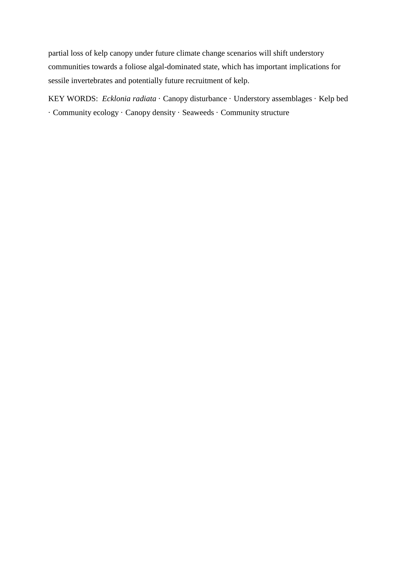partial loss of kelp canopy under future climate change scenarios will shift understory communities towards a foliose algal-dominated state, which has important implications for sessile invertebrates and potentially future recruitment of kelp.

KEY WORDS: *Ecklonia radiata* · Canopy disturbance · Understory assemblages · Kelp bed · Community ecology · Canopy density · Seaweeds · Community structure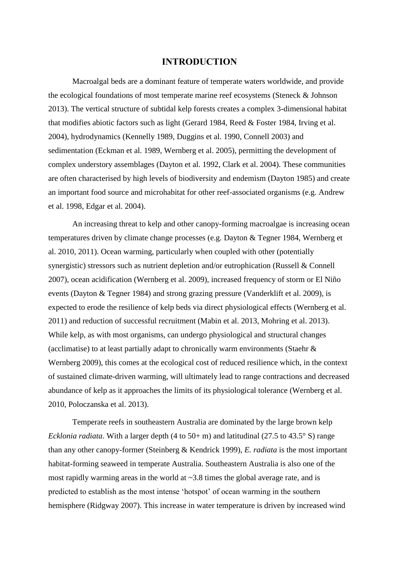#### **INTRODUCTION**

Macroalgal beds are a dominant feature of temperate waters worldwide, and provide the ecological foundations of most temperate marine reef ecosystems (Steneck & Johnson 2013). The vertical structure of subtidal kelp forests creates a complex 3-dimensional habitat that modifies abiotic factors such as light (Gerard 1984, Reed & Foster 1984, Irving et al. 2004), hydrodynamics (Kennelly 1989, Duggins et al. 1990, Connell 2003) and sedimentation (Eckman et al. 1989, Wernberg et al. 2005), permitting the development of complex understory assemblages (Dayton et al. 1992, Clark et al. 2004). These communities are often characterised by high levels of biodiversity and endemism (Dayton 1985) and create an important food source and microhabitat for other reef-associated organisms (e.g. Andrew et al. 1998, Edgar et al. 2004).

An increasing threat to kelp and other canopy-forming macroalgae is increasing ocean temperatures driven by climate change processes (e.g. Dayton & Tegner 1984, Wernberg et al. 2010, 2011). Ocean warming, particularly when coupled with other (potentially synergistic) stressors such as nutrient depletion and/or eutrophication (Russell & Connell 2007), ocean acidification (Wernberg et al. 2009), increased frequency of storm or El Niño events (Dayton & Tegner 1984) and strong grazing pressure (Vanderklift et al. 2009), is expected to erode the resilience of kelp beds via direct physiological effects (Wernberg et al. 2011) and reduction of successful recruitment (Mabin et al. 2013, Mohring et al. 2013). While kelp, as with most organisms, can undergo physiological and structural changes (acclimatise) to at least partially adapt to chronically warm environments (Staehr & Wernberg 2009), this comes at the ecological cost of reduced resilience which, in the context of sustained climate-driven warming, will ultimately lead to range contractions and decreased abundance of kelp as it approaches the limits of its physiological tolerance (Wernberg et al. 2010, Poloczanska et al. 2013).

Temperate reefs in southeastern Australia are dominated by the large brown kelp *Ecklonia radiata*. With a larger depth  $(4 \text{ to } 50 + \text{m})$  and latitudinal  $(27.5 \text{ to } 43.5^{\circ} \text{ S})$  range than any other canopy-former (Steinberg & Kendrick 1999), *E. radiata* is the most important habitat-forming seaweed in temperate Australia. Southeastern Australia is also one of the most rapidly warming areas in the world at ~3.8 times the global average rate, and is predicted to establish as the most intense 'hotspot' of ocean warming in the southern hemisphere (Ridgway 2007). This increase in water temperature is driven by increased wind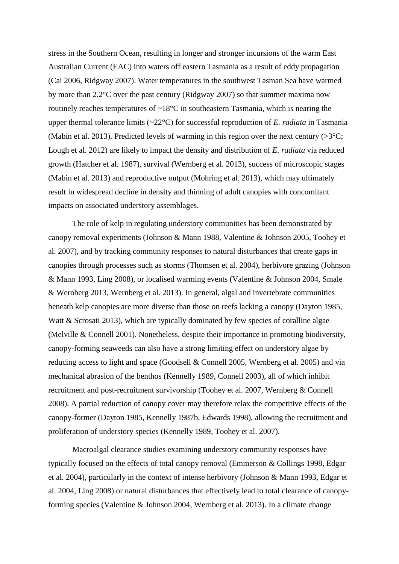stress in the Southern Ocean, resulting in longer and stronger incursions of the warm East Australian Current (EAC) into waters off eastern Tasmania as a result of eddy propagation (Cai 2006, Ridgway 2007). Water temperatures in the southwest Tasman Sea have warmed by more than 2.2°C over the past century (Ridgway 2007) so that summer maxima now routinely reaches temperatures of  $\sim 18^{\circ}$ C in southeastern Tasmania, which is nearing the upper thermal tolerance limits (~22°C) for successful reproduction of *E. radiata* in Tasmania (Mabin et al. 2013). Predicted levels of warming in this region over the next century  $(>\,3\,^{\circ}\mathrm{C})$ ; Lough et al. 2012) are likely to impact the density and distribution of *E. radiata* via reduced growth (Hatcher et al. 1987), survival (Wernberg et al. 2013), success of microscopic stages (Mabin et al. 2013) and reproductive output (Mohring et al. 2013), which may ultimately result in widespread decline in density and thinning of adult canopies with concomitant impacts on associated understory assemblages.

The role of kelp in regulating understory communities has been demonstrated by canopy removal experiments (Johnson & Mann 1988, Valentine & Johnson 2005, Toohey et al. 2007), and by tracking community responses to natural disturbances that create gaps in canopies through processes such as storms (Thomsen et al. 2004), herbivore grazing (Johnson & Mann 1993, Ling 2008), or localised warming events (Valentine & Johnson 2004, Smale & Wernberg 2013, Wernberg et al. 2013). In general, algal and invertebrate communities beneath kelp canopies are more diverse than those on reefs lacking a canopy (Dayton 1985, Watt & Scrosati 2013), which are typically dominated by few species of coralline algae (Melville & Connell 2001). Nonetheless, despite their importance in promoting biodiversity, canopy-forming seaweeds can also have a strong limiting effect on understory algae by reducing access to light and space (Goodsell & Connell 2005, Wernberg et al. 2005) and via mechanical abrasion of the benthos (Kennelly 1989, Connell 2003), all of which inhibit recruitment and post-recruitment survivorship (Toohey et al. 2007, Wernberg & Connell 2008). A partial reduction of canopy cover may therefore relax the competitive effects of the canopy-former (Dayton 1985, Kennelly 1987b, Edwards 1998), allowing the recruitment and proliferation of understory species (Kennelly 1989, Toohey et al. 2007).

Macroalgal clearance studies examining understory community responses have typically focused on the effects of total canopy removal (Emmerson & Collings 1998, Edgar et al. 2004), particularly in the context of intense herbivory (Johnson & Mann 1993, Edgar et al. 2004, Ling 2008) or natural disturbances that effectively lead to total clearance of canopyforming species (Valentine & Johnson 2004, Wernberg et al. 2013). In a climate change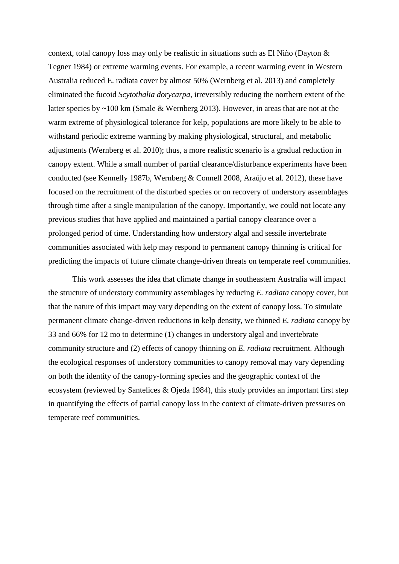context, total canopy loss may only be realistic in situations such as El Niño (Dayton & Tegner 1984) or extreme warming events. For example, a recent warming event in Western Australia reduced E. radiata cover by almost 50% (Wernberg et al. 2013) and completely eliminated the fucoid *Scytothalia dorycarpa*, irreversibly reducing the northern extent of the latter species by ~100 km (Smale & Wernberg 2013). However, in areas that are not at the warm extreme of physiological tolerance for kelp, populations are more likely to be able to withstand periodic extreme warming by making physiological, structural, and metabolic adjustments (Wernberg et al. 2010); thus, a more realistic scenario is a gradual reduction in canopy extent. While a small number of partial clearance/disturbance experiments have been conducted (see Kennelly 1987b, Wernberg & Connell 2008, Araújo et al. 2012), these have focused on the recruitment of the disturbed species or on recovery of understory assemblages through time after a single manipulation of the canopy. Importantly, we could not locate any previous studies that have applied and maintained a partial canopy clearance over a prolonged period of time. Understanding how understory algal and sessile invertebrate communities associated with kelp may respond to permanent canopy thinning is critical for predicting the impacts of future climate change-driven threats on temperate reef communities.

This work assesses the idea that climate change in southeastern Australia will impact the structure of understory community assemblages by reducing *E. radiata* canopy cover, but that the nature of this impact may vary depending on the extent of canopy loss. To simulate permanent climate change-driven reductions in kelp density, we thinned *E. radiata* canopy by 33 and 66% for 12 mo to determine (1) changes in understory algal and invertebrate community structure and (2) effects of canopy thinning on *E. radiata* recruitment. Although the ecological responses of understory communities to canopy removal may vary depending on both the identity of the canopy-forming species and the geographic context of the ecosystem (reviewed by Santelices & Ojeda 1984), this study provides an important first step in quantifying the effects of partial canopy loss in the context of climate-driven pressures on temperate reef communities.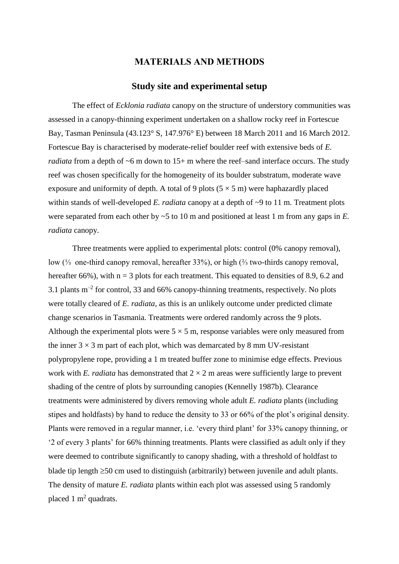### **MATERIALS AND METHODS**

#### **Study site and experimental setup**

The effect of *Ecklonia radiata* canopy on the structure of understory communities was assessed in a canopy-thinning experiment undertaken on a shallow rocky reef in Fortescue Bay, Tasman Peninsula (43.123° S, 147.976° E) between 18 March 2011 and 16 March 2012. Fortescue Bay is characterised by moderate-relief boulder reef with extensive beds of *E. radiata* from a depth of ~6 m down to 15+ m where the reef–sand interface occurs. The study reef was chosen specifically for the homogeneity of its boulder substratum, moderate wave exposure and uniformity of depth. A total of 9 plots  $(5 \times 5 \text{ m})$  were haphazardly placed within stands of well-developed *E. radiata* canopy at a depth of ~9 to 11 m. Treatment plots were separated from each other by ~5 to 10 m and positioned at least 1 m from any gaps in *E. radiata* canopy.

Three treatments were applied to experimental plots: control (0% canopy removal), low (⅓ one-third canopy removal, hereafter 33%), or high (⅔ two-thirds canopy removal, hereafter 66%), with  $n = 3$  plots for each treatment. This equated to densities of 8.9, 6.2 and 3.1 plants  $m^{-2}$  for control, 33 and 66% canopy-thinning treatments, respectively. No plots were totally cleared of *E. radiata*, as this is an unlikely outcome under predicted climate change scenarios in Tasmania. Treatments were ordered randomly across the 9 plots. Although the experimental plots were  $5 \times 5$  m, response variables were only measured from the inner  $3 \times 3$  m part of each plot, which was demarcated by 8 mm UV-resistant polypropylene rope, providing a 1 m treated buffer zone to minimise edge effects. Previous work with *E. radiata* has demonstrated that  $2 \times 2$  m areas were sufficiently large to prevent shading of the centre of plots by surrounding canopies (Kennelly 1987b). Clearance treatments were administered by divers removing whole adult *E. radiata* plants (including stipes and holdfasts) by hand to reduce the density to 33 or 66% of the plot's original density. Plants were removed in a regular manner, i.e. 'every third plant' for 33% canopy thinning, or '2 of every 3 plants' for 66% thinning treatments. Plants were classified as adult only if they were deemed to contribute significantly to canopy shading, with a threshold of holdfast to blade tip length  $\geq$ 50 cm used to distinguish (arbitrarily) between juvenile and adult plants. The density of mature *E. radiata* plants within each plot was assessed using 5 randomly placed 1  $m^2$  quadrats.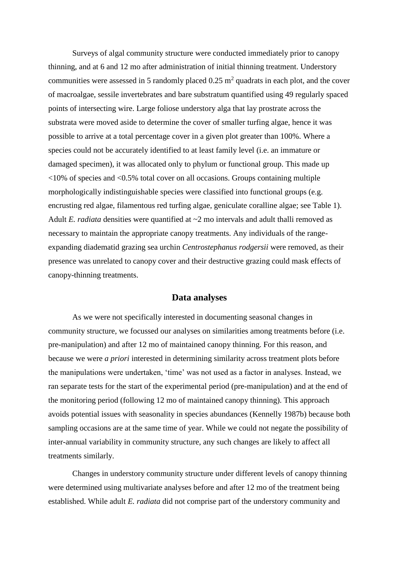Surveys of algal community structure were conducted immediately prior to canopy thinning, and at 6 and 12 mo after administration of initial thinning treatment. Understory communities were assessed in 5 randomly placed  $0.25 \text{ m}^2$  quadrats in each plot, and the cover of macroalgae, sessile invertebrates and bare substratum quantified using 49 regularly spaced points of intersecting wire. Large foliose understory alga that lay prostrate across the substrata were moved aside to determine the cover of smaller turfing algae, hence it was possible to arrive at a total percentage cover in a given plot greater than 100%. Where a species could not be accurately identified to at least family level (i.e. an immature or damaged specimen), it was allocated only to phylum or functional group. This made up  $\langle 10\%$  of species and  $\langle 0.5\%$  total cover on all occasions. Groups containing multiple morphologically indistinguishable species were classified into functional groups (e.g. encrusting red algae, filamentous red turfing algae, geniculate coralline algae; see Table 1). Adult *E. radiata* densities were quantified at  $\sim$ 2 mo intervals and adult thalli removed as necessary to maintain the appropriate canopy treatments. Any individuals of the rangeexpanding diadematid grazing sea urchin *Centrostephanus rodgersii* were removed, as their presence was unrelated to canopy cover and their destructive grazing could mask effects of canopy-thinning treatments.

#### **Data analyses**

As we were not specifically interested in documenting seasonal changes in community structure, we focussed our analyses on similarities among treatments before (i.e. pre-manipulation) and after 12 mo of maintained canopy thinning. For this reason, and because we were *a priori* interested in determining similarity across treatment plots before the manipulations were undertaken, 'time' was not used as a factor in analyses. Instead, we ran separate tests for the start of the experimental period (pre-manipulation) and at the end of the monitoring period (following 12 mo of maintained canopy thinning). This approach avoids potential issues with seasonality in species abundances (Kennelly 1987b) because both sampling occasions are at the same time of year. While we could not negate the possibility of inter-annual variability in community structure, any such changes are likely to affect all treatments similarly.

Changes in understory community structure under different levels of canopy thinning were determined using multivariate analyses before and after 12 mo of the treatment being established. While adult *E. radiata* did not comprise part of the understory community and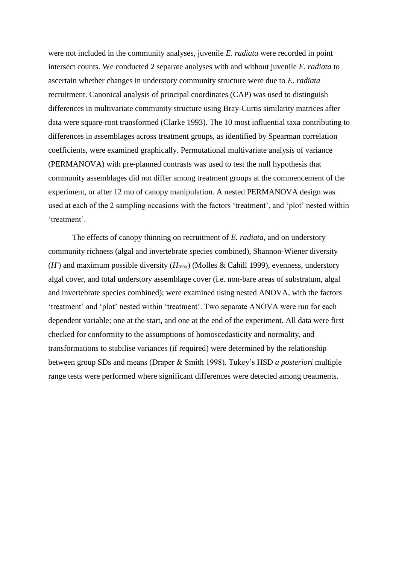were not included in the community analyses, juvenile *E. radiata* were recorded in point intersect counts. We conducted 2 separate analyses with and without juvenile *E. radiata* to ascertain whether changes in understory community structure were due to *E. radiata* recruitment. Canonical analysis of principal coordinates (CAP) was used to distinguish differences in multivariate community structure using Bray-Curtis similarity matrices after data were square-root transformed (Clarke 1993). The 10 most influential taxa contributing to differences in assemblages across treatment groups, as identified by Spearman correlation coefficients, were examined graphically. Permutational multivariate analysis of variance (PERMANOVA) with pre-planned contrasts was used to test the null hypothesis that community assemblages did not differ among treatment groups at the commencement of the experiment, or after 12 mo of canopy manipulation. A nested PERMANOVA design was used at each of the 2 sampling occasions with the factors 'treatment', and 'plot' nested within 'treatment'.

The effects of canopy thinning on recruitment of *E. radiata*, and on understory community richness (algal and invertebrate species combined), Shannon-Wiener diversity (*H'*) and maximum possible diversity ( $H_{\text{max}}$ ) (Molles & Cahill 1999), evenness, understory algal cover, and total understory assemblage cover (i.e. non-bare areas of substratum, algal and invertebrate species combined); were examined using nested ANOVA, with the factors 'treatment' and 'plot' nested within 'treatment'. Two separate ANOVA were run for each dependent variable; one at the start, and one at the end of the experiment. All data were first checked for conformity to the assumptions of homoscedasticity and normality, and transformations to stabilise variances (if required) were determined by the relationship between group SDs and means (Draper & Smith 1998). Tukey's HSD *a posteriori* multiple range tests were performed where significant differences were detected among treatments.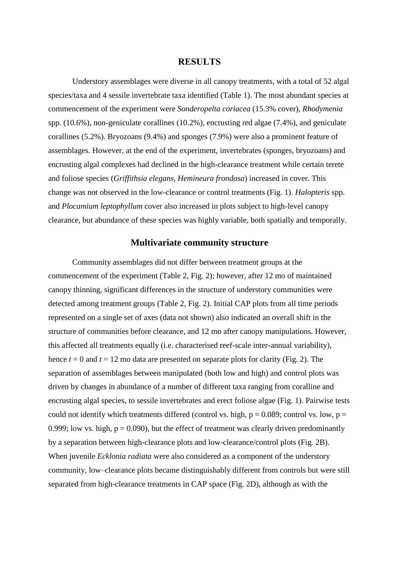### **RESULTS**

Understory assemblages were diverse in all canopy treatments, with a total of 52 algal species/taxa and 4 sessile invertebrate taxa identified (Table 1). The most abundant species at commencement of the experiment were *Sonderopelta coriacea* (15.3% cover), *Rhodymenia* spp. (10.6%), non-geniculate corallines (10.2%), encrusting red algae (7.4%), and geniculate corallines (5.2%). Bryozoans (9.4%) and sponges (7.9%) were also a prominent feature of assemblages. However, at the end of the experiment, invertebrates (sponges, bryozoans) and encrusting algal complexes had declined in the high-clearance treatment while certain terete and foliose species (*Griffithsia elegans, Hemineura frondosa*) increased in cover. This change was not observed in the low-clearance or control treatments (Fig. 1). *Halopteris* spp. and *Plocamium leptophyllum* cover also increased in plots subject to high-level canopy clearance, but abundance of these species was highly variable, both spatially and temporally.

#### **Multivariate community structure**

Community assemblages did not differ between treatment groups at the commencement of the experiment (Table 2, Fig. 2); however, after 12 mo of maintained canopy thinning, significant differences in the structure of understory communities were detected among treatment groups (Table 2, Fig. 2). Initial CAP plots from all time periods represented on a single set of axes (data not shown) also indicated an overall shift in the structure of communities before clearance, and 12 mo after canopy manipulations. However, this affected all treatments equally (i.e. characterised reef-scale inter-annual variability), hence  $t = 0$  and  $t = 12$  mo data are presented on separate plots for clarity (Fig. 2). The separation of assemblages between manipulated (both low and high) and control plots was driven by changes in abundance of a number of different taxa ranging from coralline and encrusting algal species, to sessile invertebrates and erect foliose algae (Fig. 1). Pairwise tests could not identify which treatments differed (control vs. high,  $p = 0.089$ ; control vs. low,  $p =$ 0.999; low vs. high,  $p = 0.090$ ), but the effect of treatment was clearly driven predominantly by a separation between high-clearance plots and low-clearance/control plots (Fig. 2B). When juvenile *Ecklonia radiata* were also considered as a component of the understory community, low–clearance plots became distinguishably different from controls but were still separated from high-clearance treatments in CAP space (Fig. 2D), although as with the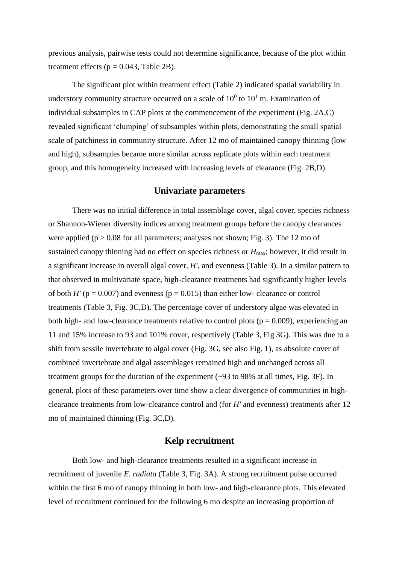previous analysis, pairwise tests could not determine significance, because of the plot within treatment effects ( $p = 0.043$ , Table 2B).

The significant plot within treatment effect (Table 2) indicated spatial variability in understory community structure occurred on a scale of  $10^0$  to  $10^1$  m. Examination of individual subsamples in CAP plots at the commencement of the experiment (Fig. 2A,C) revealed significant 'clumping' of subsamples within plots, demonstrating the small spatial scale of patchiness in community structure. After 12 mo of maintained canopy thinning (low and high), subsamples became more similar across replicate plots within each treatment group, and this homogeneity increased with increasing levels of clearance (Fig. 2B,D).

#### **Univariate parameters**

There was no initial difference in total assemblage cover, algal cover, species richness or Shannon-Wiener diversity indices among treatment groups before the canopy clearances were applied ( $p > 0.08$  for all parameters; analyses not shown; Fig. 3). The 12 mo of sustained canopy thinning had no effect on species richness or  $H_{\text{max}}$ ; however, it did result in a significant increase in overall algal cover, *H'*, and evenness (Table 3). In a similar pattern to that observed in multivariate space, high-clearance treatments had significantly higher levels of both  $H'$  ( $p = 0.007$ ) and evenness ( $p = 0.015$ ) than either low- clearance or control treatments (Table 3, Fig. 3C,D). The percentage cover of understory algae was elevated in both high- and low-clearance treatments relative to control plots ( $p = 0.009$ ), experiencing an 11 and 15% increase to 93 and 101% cover, respectively (Table 3, Fig 3G). This was due to a shift from sessile invertebrate to algal cover (Fig. 3G, see also Fig. 1), as absolute cover of combined invertebrate and algal assemblages remained high and unchanged across all treatment groups for the duration of the experiment (~93 to 98% at all times, Fig. 3F). In general, plots of these parameters over time show a clear divergence of communities in highclearance treatments from low-clearance control and (for *H'* and evenness) treatments after 12 mo of maintained thinning (Fig. 3C,D).

#### **Kelp recruitment**

Both low- and high-clearance treatments resulted in a significant increase in recruitment of juvenile *E. radiata* (Table 3, Fig. 3A). A strong recruitment pulse occurred within the first 6 mo of canopy thinning in both low- and high-clearance plots. This elevated level of recruitment continued for the following 6 mo despite an increasing proportion of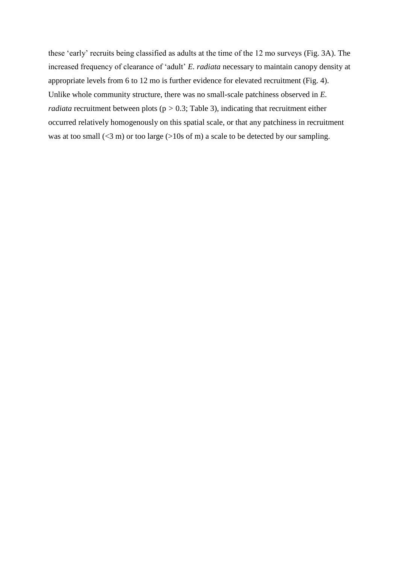these 'early' recruits being classified as adults at the time of the 12 mo surveys (Fig. 3A). The increased frequency of clearance of 'adult' *E. radiata* necessary to maintain canopy density at appropriate levels from 6 to 12 mo is further evidence for elevated recruitment (Fig. 4). Unlike whole community structure, there was no small-scale patchiness observed in *E. radiata* recruitment between plots (p *>* 0.3; Table 3), indicating that recruitment either occurred relatively homogenously on this spatial scale, or that any patchiness in recruitment was at too small  $(\leq 3 \text{ m})$  or too large  $(>10 \text{ s of m})$  a scale to be detected by our sampling.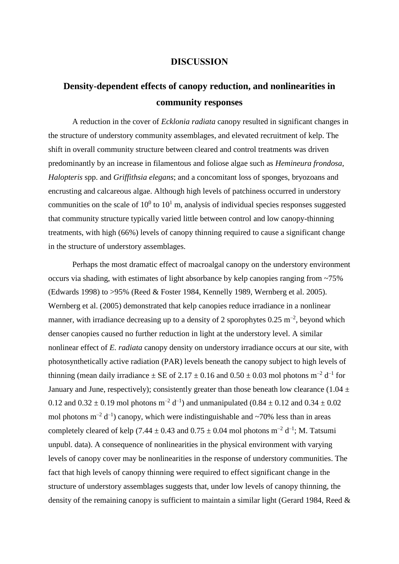#### **DISCUSSION**

# **Density-dependent effects of canopy reduction, and nonlinearities in community responses**

A reduction in the cover of *Ecklonia radiata* canopy resulted in significant changes in the structure of understory community assemblages, and elevated recruitment of kelp. The shift in overall community structure between cleared and control treatments was driven predominantly by an increase in filamentous and foliose algae such as *Hemineura frondosa*, *Halopteris* spp. and *Griffithsia elegans*; and a concomitant loss of sponges, bryozoans and encrusting and calcareous algae. Although high levels of patchiness occurred in understory communities on the scale of  $10^0$  to  $10^1$  m, analysis of individual species responses suggested that community structure typically varied little between control and low canopy-thinning treatments, with high (66%) levels of canopy thinning required to cause a significant change in the structure of understory assemblages.

Perhaps the most dramatic effect of macroalgal canopy on the understory environment occurs via shading, with estimates of light absorbance by kelp canopies ranging from ~75% (Edwards 1998) to >95% (Reed & Foster 1984, Kennelly 1989, Wernberg et al. 2005). Wernberg et al. (2005) demonstrated that kelp canopies reduce irradiance in a nonlinear manner, with irradiance decreasing up to a density of 2 sporophytes  $0.25 \text{ m}^{-2}$ , beyond which denser canopies caused no further reduction in light at the understory level. A similar nonlinear effect of *E. radiata* canopy density on understory irradiance occurs at our site, with photosynthetically active radiation (PAR) levels beneath the canopy subject to high levels of thinning (mean daily irradiance  $\pm$  SE of 2.17  $\pm$  0.16 and 0.50  $\pm$  0.03 mol photons m<sup>-2</sup> d<sup>-1</sup> for January and June, respectively); consistently greater than those beneath low clearance (1.04  $\pm$ 0.12 and  $0.32 \pm 0.19$  mol photons m<sup>-2</sup> d<sup>-1</sup>) and unmanipulated (0.84  $\pm$  0.12 and 0.34  $\pm$  0.02 mol photons  $m^{-2} d^{-1}$ ) canopy, which were indistinguishable and ~70% less than in areas completely cleared of kelp (7.44  $\pm$  0.43 and 0.75  $\pm$  0.04 mol photons m<sup>-2</sup> d<sup>-1</sup>; M. Tatsumi unpubl. data). A consequence of nonlinearities in the physical environment with varying levels of canopy cover may be nonlinearities in the response of understory communities. The fact that high levels of canopy thinning were required to effect significant change in the structure of understory assemblages suggests that, under low levels of canopy thinning, the density of the remaining canopy is sufficient to maintain a similar light (Gerard 1984, Reed &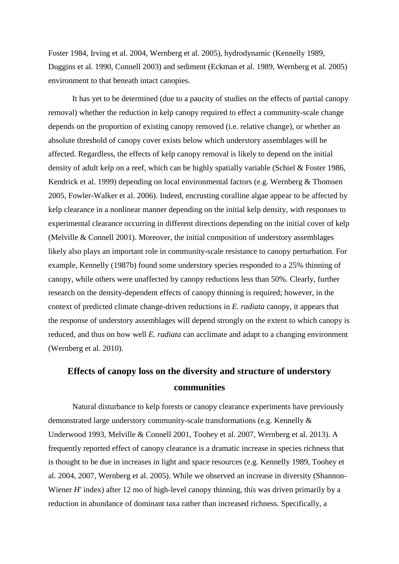Foster 1984, Irving et al. 2004, Wernberg et al. 2005), hydrodynamic (Kennelly 1989, Duggins et al. 1990, Connell 2003) and sediment (Eckman et al. 1989, Wernberg et al. 2005) environment to that beneath intact canopies.

It has yet to be determined (due to a paucity of studies on the effects of partial canopy removal) whether the reduction in kelp canopy required to effect a community-scale change depends on the proportion of existing canopy removed (i.e. relative change), or whether an absolute threshold of canopy cover exists below which understory assemblages will be affected. Regardless, the effects of kelp canopy removal is likely to depend on the initial density of adult kelp on a reef, which can be highly spatially variable (Schiel & Foster 1986, Kendrick et al. 1999) depending on local environmental factors (e.g. Wernberg & Thomsen 2005, Fowler-Walker et al. 2006). Indeed, encrusting coralline algae appear to be affected by kelp clearance in a nonlinear manner depending on the initial kelp density, with responses to experimental clearance occurring in different directions depending on the initial cover of kelp (Melville & Connell 2001). Moreover, the initial composition of understory assemblages likely also plays an important role in community-scale resistance to canopy perturbation. For example, Kennelly (1987b) found some understory species responded to a 25% thinning of canopy, while others were unaffected by canopy reductions less than 50%. Clearly, further research on the density-dependent effects of canopy thinning is required; however, in the context of predicted climate change-driven reductions in *E. radiata* canopy, it appears that the response of understory assemblages will depend strongly on the extent to which canopy is reduced, and thus on how well *E. radiata* can acclimate and adapt to a changing environment (Wernberg et al. 2010).

## **Effects of canopy loss on the diversity and structure of understory communities**

Natural disturbance to kelp forests or canopy clearance experiments have previously demonstrated large understory community-scale transformations (e.g. Kennelly & Underwood 1993, Melville & Connell 2001, Toohey et al. 2007, Wernberg et al. 2013). A frequently reported effect of canopy clearance is a dramatic increase in species richness that is thought to be due in increases in light and space resources (e.g. Kennelly 1989, Toohey et al. 2004, 2007, Wernberg et al. 2005). While we observed an increase in diversity (Shannon-Wiener *H'* index) after 12 mo of high-level canopy thinning, this was driven primarily by a reduction in abundance of dominant taxa rather than increased richness. Specifically, a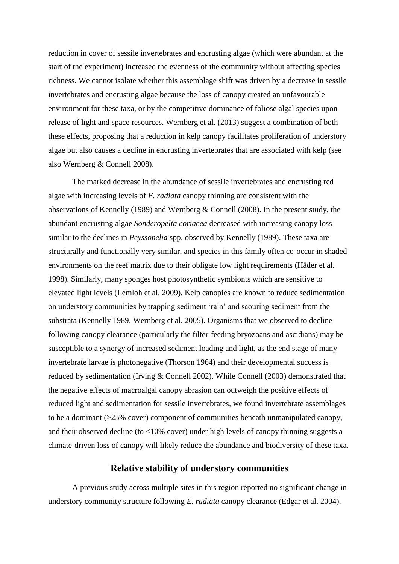reduction in cover of sessile invertebrates and encrusting algae (which were abundant at the start of the experiment) increased the evenness of the community without affecting species richness. We cannot isolate whether this assemblage shift was driven by a decrease in sessile invertebrates and encrusting algae because the loss of canopy created an unfavourable environment for these taxa, or by the competitive dominance of foliose algal species upon release of light and space resources. Wernberg et al. (2013) suggest a combination of both these effects, proposing that a reduction in kelp canopy facilitates proliferation of understory algae but also causes a decline in encrusting invertebrates that are associated with kelp (see also Wernberg & Connell 2008).

The marked decrease in the abundance of sessile invertebrates and encrusting red algae with increasing levels of *E. radiata* canopy thinning are consistent with the observations of Kennelly (1989) and Wernberg & Connell (2008). In the present study, the abundant encrusting algae *Sonderopelta coriacea* decreased with increasing canopy loss similar to the declines in *Peyssonelia* spp. observed by Kennelly (1989). These taxa are structurally and functionally very similar, and species in this family often co-occur in shaded environments on the reef matrix due to their obligate low light requirements (Häder et al. 1998). Similarly, many sponges host photosynthetic symbionts which are sensitive to elevated light levels (Lemloh et al. 2009). Kelp canopies are known to reduce sedimentation on understory communities by trapping sediment 'rain' and scouring sediment from the substrata (Kennelly 1989, Wernberg et al. 2005). Organisms that we observed to decline following canopy clearance (particularly the filter-feeding bryozoans and ascidians) may be susceptible to a synergy of increased sediment loading and light, as the end stage of many invertebrate larvae is photonegative (Thorson 1964) and their developmental success is reduced by sedimentation (Irving & Connell 2002). While Connell (2003) demonstrated that the negative effects of macroalgal canopy abrasion can outweigh the positive effects of reduced light and sedimentation for sessile invertebrates, we found invertebrate assemblages to be a dominant (>25% cover) component of communities beneath unmanipulated canopy, and their observed decline (to  $\langle 10\% \text{ cover} \rangle$  under high levels of canopy thinning suggests a climate-driven loss of canopy will likely reduce the abundance and biodiversity of these taxa.

### **Relative stability of understory communities**

A previous study across multiple sites in this region reported no significant change in understory community structure following *E. radiata* canopy clearance (Edgar et al. 2004).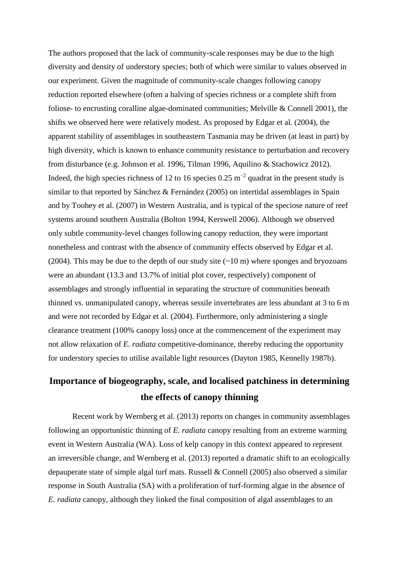The authors proposed that the lack of community-scale responses may be due to the high diversity and density of understory species; both of which were similar to values observed in our experiment. Given the magnitude of community-scale changes following canopy reduction reported elsewhere (often a halving of species richness or a complete shift from foliose- to encrusting coralline algae-dominated communities; Melville & Connell 2001), the shifts we observed here were relatively modest. As proposed by Edgar et al. (2004), the apparent stability of assemblages in southeastern Tasmania may be driven (at least in part) by high diversity, which is known to enhance community resistance to perturbation and recovery from disturbance (e.g. Johnson et al. 1996, Tilman 1996, Aquilino & Stachowicz 2012). Indeed, the high species richness of 12 to 16 species  $0.25 \text{ m}^{-2}$  quadrat in the present study is similar to that reported by Sánchez & Fernández (2005) on intertidal assemblages in Spain and by Toohey et al. (2007) in Western Australia, and is typical of the speciose nature of reef systems around southern Australia (Bolton 1994, Kerswell 2006). Although we observed only subtle community-level changes following canopy reduction, they were important nonetheless and contrast with the absence of community effects observed by Edgar et al. (2004). This may be due to the depth of our study site  $(\sim 10 \text{ m})$  where sponges and bryozoans were an abundant (13.3 and 13.7% of initial plot cover, respectively) component of assemblages and strongly influential in separating the structure of communities beneath thinned vs. unmanipulated canopy, whereas sessile invertebrates are less abundant at 3 to 6 m and were not recorded by Edgar et al. (2004). Furthermore, only administering a single clearance treatment (100% canopy loss) once at the commencement of the experiment may not allow relaxation of *E. radiata* competitive-dominance, thereby reducing the opportunity for understory species to utilise available light resources (Dayton 1985, Kennelly 1987b).

# **Importance of biogeography, scale, and localised patchiness in determining the effects of canopy thinning**

Recent work by Wernberg et al. (2013) reports on changes in community assemblages following an opportunistic thinning of *E. radiata* canopy resulting from an extreme warming event in Western Australia (WA). Loss of kelp canopy in this context appeared to represent an irreversible change, and Wernberg et al. (2013) reported a dramatic shift to an ecologically depauperate state of simple algal turf mats. Russell & Connell (2005) also observed a similar response in South Australia (SA) with a proliferation of turf-forming algae in the absence of *E. radiata* canopy, although they linked the final composition of algal assemblages to an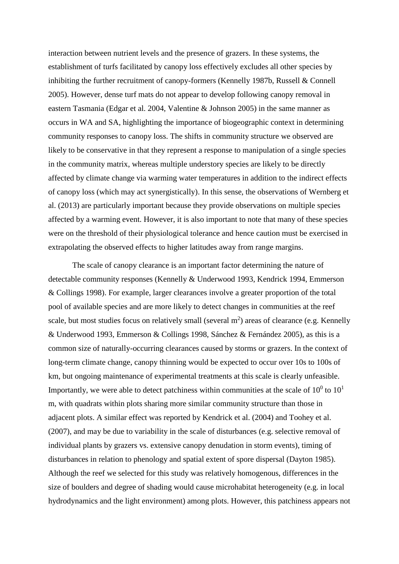interaction between nutrient levels and the presence of grazers. In these systems, the establishment of turfs facilitated by canopy loss effectively excludes all other species by inhibiting the further recruitment of canopy-formers (Kennelly 1987b, Russell & Connell 2005). However, dense turf mats do not appear to develop following canopy removal in eastern Tasmania (Edgar et al. 2004, Valentine & Johnson 2005) in the same manner as occurs in WA and SA, highlighting the importance of biogeographic context in determining community responses to canopy loss. The shifts in community structure we observed are likely to be conservative in that they represent a response to manipulation of a single species in the community matrix, whereas multiple understory species are likely to be directly affected by climate change via warming water temperatures in addition to the indirect effects of canopy loss (which may act synergistically). In this sense, the observations of Wernberg et al. (2013) are particularly important because they provide observations on multiple species affected by a warming event. However, it is also important to note that many of these species were on the threshold of their physiological tolerance and hence caution must be exercised in extrapolating the observed effects to higher latitudes away from range margins.

The scale of canopy clearance is an important factor determining the nature of detectable community responses (Kennelly & Underwood 1993, Kendrick 1994, Emmerson & Collings 1998). For example, larger clearances involve a greater proportion of the total pool of available species and are more likely to detect changes in communities at the reef scale, but most studies focus on relatively small (several  $m<sup>2</sup>$ ) areas of clearance (e.g. Kennelly & Underwood 1993, Emmerson & Collings 1998, Sánchez & Fernández 2005), as this is a common size of naturally-occurring clearances caused by storms or grazers. In the context of long-term climate change, canopy thinning would be expected to occur over 10s to 100s of km, but ongoing maintenance of experimental treatments at this scale is clearly unfeasible. Importantly, we were able to detect patchiness within communities at the scale of  $10^0$  to  $10^1$ m, with quadrats within plots sharing more similar community structure than those in adjacent plots. A similar effect was reported by Kendrick et al. (2004) and Toohey et al. (2007), and may be due to variability in the scale of disturbances (e.g. selective removal of individual plants by grazers vs. extensive canopy denudation in storm events), timing of disturbances in relation to phenology and spatial extent of spore dispersal (Dayton 1985). Although the reef we selected for this study was relatively homogenous, differences in the size of boulders and degree of shading would cause microhabitat heterogeneity (e.g. in local hydrodynamics and the light environment) among plots. However, this patchiness appears not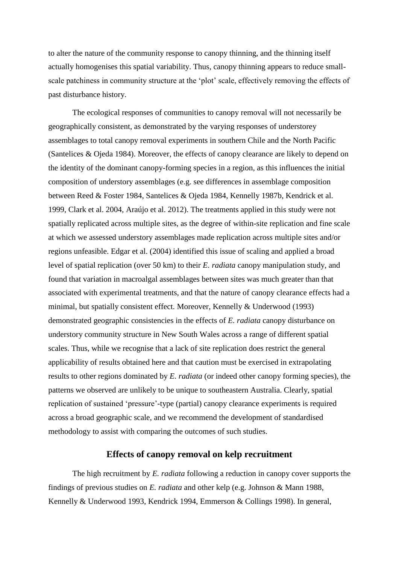to alter the nature of the community response to canopy thinning, and the thinning itself actually homogenises this spatial variability. Thus, canopy thinning appears to reduce smallscale patchiness in community structure at the 'plot' scale, effectively removing the effects of past disturbance history.

The ecological responses of communities to canopy removal will not necessarily be geographically consistent, as demonstrated by the varying responses of understorey assemblages to total canopy removal experiments in southern Chile and the North Pacific (Santelices & Ojeda 1984). Moreover, the effects of canopy clearance are likely to depend on the identity of the dominant canopy-forming species in a region, as this influences the initial composition of understory assemblages (e.g. see differences in assemblage composition between Reed & Foster 1984, Santelices & Ojeda 1984, Kennelly 1987b, Kendrick et al. 1999, Clark et al. 2004, Araújo et al. 2012). The treatments applied in this study were not spatially replicated across multiple sites, as the degree of within-site replication and fine scale at which we assessed understory assemblages made replication across multiple sites and/or regions unfeasible. Edgar et al. (2004) identified this issue of scaling and applied a broad level of spatial replication (over 50 km) to their *E. radiata* canopy manipulation study, and found that variation in macroalgal assemblages between sites was much greater than that associated with experimental treatments, and that the nature of canopy clearance effects had a minimal, but spatially consistent effect. Moreover, Kennelly & Underwood (1993) demonstrated geographic consistencies in the effects of *E. radiata* canopy disturbance on understory community structure in New South Wales across a range of different spatial scales. Thus, while we recognise that a lack of site replication does restrict the general applicability of results obtained here and that caution must be exercised in extrapolating results to other regions dominated by *E. radiata* (or indeed other canopy forming species), the patterns we observed are unlikely to be unique to southeastern Australia. Clearly, spatial replication of sustained 'pressure'-type (partial) canopy clearance experiments is required across a broad geographic scale, and we recommend the development of standardised methodology to assist with comparing the outcomes of such studies.

### **Effects of canopy removal on kelp recruitment**

The high recruitment by *E. radiata* following a reduction in canopy cover supports the findings of previous studies on *E. radiata* and other kelp (e.g. Johnson & Mann 1988, Kennelly & Underwood 1993, Kendrick 1994, Emmerson & Collings 1998). In general,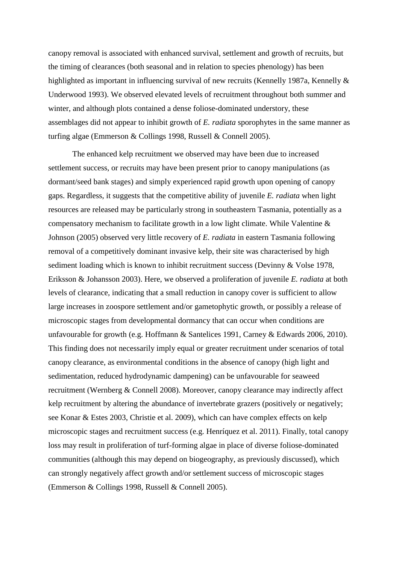canopy removal is associated with enhanced survival, settlement and growth of recruits, but the timing of clearances (both seasonal and in relation to species phenology) has been highlighted as important in influencing survival of new recruits (Kennelly 1987a, Kennelly & Underwood 1993). We observed elevated levels of recruitment throughout both summer and winter, and although plots contained a dense foliose-dominated understory, these assemblages did not appear to inhibit growth of *E. radiata* sporophytes in the same manner as turfing algae (Emmerson & Collings 1998, Russell & Connell 2005).

The enhanced kelp recruitment we observed may have been due to increased settlement success, or recruits may have been present prior to canopy manipulations (as dormant/seed bank stages) and simply experienced rapid growth upon opening of canopy gaps. Regardless, it suggests that the competitive ability of juvenile *E. radiata* when light resources are released may be particularly strong in southeastern Tasmania, potentially as a compensatory mechanism to facilitate growth in a low light climate. While Valentine & Johnson (2005) observed very little recovery of *E. radiata* in eastern Tasmania following removal of a competitively dominant invasive kelp, their site was characterised by high sediment loading which is known to inhibit recruitment success (Devinny & Volse 1978, Eriksson & Johansson 2003). Here, we observed a proliferation of juvenile *E. radiata* at both levels of clearance, indicating that a small reduction in canopy cover is sufficient to allow large increases in zoospore settlement and/or gametophytic growth, or possibly a release of microscopic stages from developmental dormancy that can occur when conditions are unfavourable for growth (e.g. Hoffmann & Santelices 1991, Carney & Edwards 2006, 2010). This finding does not necessarily imply equal or greater recruitment under scenarios of total canopy clearance, as environmental conditions in the absence of canopy (high light and sedimentation, reduced hydrodynamic dampening) can be unfavourable for seaweed recruitment (Wernberg & Connell 2008). Moreover, canopy clearance may indirectly affect kelp recruitment by altering the abundance of invertebrate grazers (positively or negatively; see Konar & Estes 2003, Christie et al. 2009), which can have complex effects on kelp microscopic stages and recruitment success (e.g. Henríquez et al. 2011). Finally, total canopy loss may result in proliferation of turf-forming algae in place of diverse foliose-dominated communities (although this may depend on biogeography, as previously discussed), which can strongly negatively affect growth and/or settlement success of microscopic stages (Emmerson & Collings 1998, Russell & Connell 2005).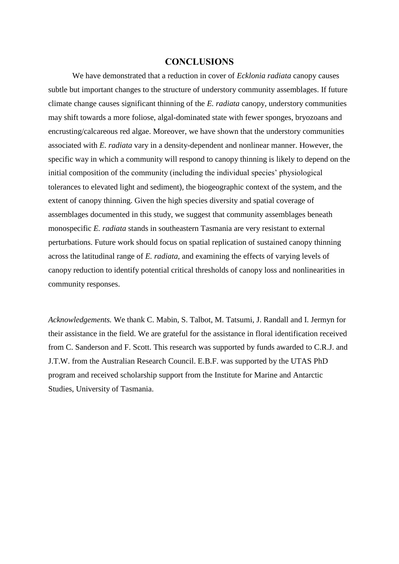#### **CONCLUSIONS**

We have demonstrated that a reduction in cover of *Ecklonia radiata* canopy causes subtle but important changes to the structure of understory community assemblages. If future climate change causes significant thinning of the *E. radiata* canopy, understory communities may shift towards a more foliose, algal-dominated state with fewer sponges, bryozoans and encrusting/calcareous red algae. Moreover, we have shown that the understory communities associated with *E. radiata* vary in a density-dependent and nonlinear manner. However, the specific way in which a community will respond to canopy thinning is likely to depend on the initial composition of the community (including the individual species' physiological tolerances to elevated light and sediment), the biogeographic context of the system, and the extent of canopy thinning. Given the high species diversity and spatial coverage of assemblages documented in this study, we suggest that community assemblages beneath monospecific *E. radiata* stands in southeastern Tasmania are very resistant to external perturbations. Future work should focus on spatial replication of sustained canopy thinning across the latitudinal range of *E. radiata*, and examining the effects of varying levels of canopy reduction to identify potential critical thresholds of canopy loss and nonlinearities in community responses.

*Acknowledgements.* We thank C. Mabin, S. Talbot, M. Tatsumi, J. Randall and I. Jermyn for their assistance in the field. We are grateful for the assistance in floral identification received from C. Sanderson and F. Scott. This research was supported by funds awarded to C.R.J. and J.T.W. from the Australian Research Council. E.B.F. was supported by the UTAS PhD program and received scholarship support from the Institute for Marine and Antarctic Studies, University of Tasmania.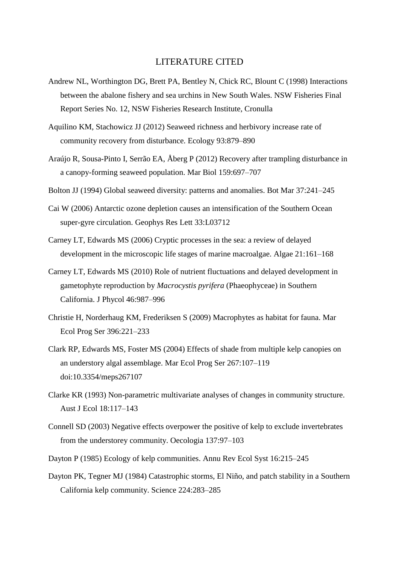### LITERATURE CITED

- Andrew NL, Worthington DG, Brett PA, Bentley N, Chick RC, Blount C (1998) Interactions between the abalone fishery and sea urchins in New South Wales. NSW Fisheries Final Report Series No. 12, NSW Fisheries Research Institute, Cronulla
- Aquilino KM, Stachowicz JJ (2012) Seaweed richness and herbivory increase rate of community recovery from disturbance. Ecology 93:879–890
- Araújo R, Sousa-Pinto I, Serrão EA, Åberg P (2012) Recovery after trampling disturbance in a canopy-forming seaweed population. Mar Biol 159:697–707
- Bolton JJ (1994) Global seaweed diversity: patterns and anomalies. Bot Mar 37:241–245
- Cai W (2006) Antarctic ozone depletion causes an intensification of the Southern Ocean super-gyre circulation. Geophys Res Lett 33:L03712
- Carney LT, Edwards MS (2006) Cryptic processes in the sea: a review of delayed development in the microscopic life stages of marine macroalgae. Algae 21:161–168
- Carney LT, Edwards MS (2010) Role of nutrient fluctuations and delayed development in gametophyte reproduction by *Macrocystis pyrifera* (Phaeophyceae) in Southern California. J Phycol 46:987–996
- Christie H, Norderhaug KM, Frederiksen S (2009) Macrophytes as habitat for fauna. Mar Ecol Prog Ser 396:221–233
- Clark RP, Edwards MS, Foster MS (2004) Effects of shade from multiple kelp canopies on an understory algal assemblage. Mar Ecol Prog Ser 267:107–119 [doi:10.3354/meps267107](http://dx.doi.org/10.3354/meps267107)
- Clarke KR (1993) Non-parametric multivariate analyses of changes in community structure. Aust J Ecol 18:117–143
- Connell SD (2003) Negative effects overpower the positive of kelp to exclude invertebrates from the understorey community. Oecologia 137:97–103
- Dayton P (1985) Ecology of kelp communities. Annu Rev Ecol Syst 16:215–245
- Dayton PK, Tegner MJ (1984) Catastrophic storms, El Niño, and patch stability in a Southern California kelp community. Science 224:283–285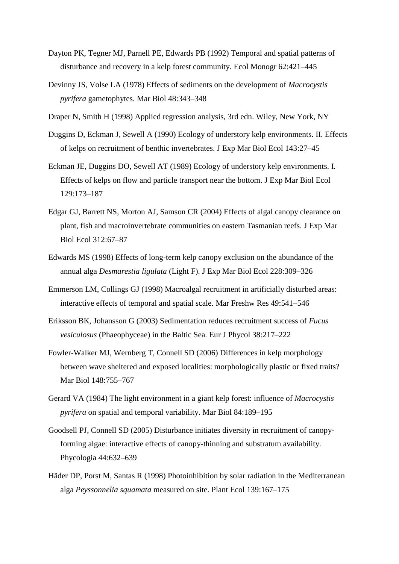- Dayton PK, Tegner MJ, Parnell PE, Edwards PB (1992) Temporal and spatial patterns of disturbance and recovery in a kelp forest community. Ecol Monogr 62:421–445
- Devinny JS, Volse LA (1978) Effects of sediments on the development of *Macrocystis pyrifera* gametophytes. Mar Biol 48:343–348
- Draper N, Smith H (1998) Applied regression analysis, 3rd edn. Wiley, New York, NY
- Duggins D, Eckman J, Sewell A (1990) Ecology of understory kelp environments. II. Effects of kelps on recruitment of benthic invertebrates. J Exp Mar Biol Ecol 143:27–45
- Eckman JE, Duggins DO, Sewell AT (1989) Ecology of understory kelp environments. I. Effects of kelps on flow and particle transport near the bottom. J Exp Mar Biol Ecol 129:173–187
- Edgar GJ, Barrett NS, Morton AJ, Samson CR (2004) Effects of algal canopy clearance on plant, fish and macroinvertebrate communities on eastern Tasmanian reefs. J Exp Mar Biol Ecol 312:67–87
- Edwards MS (1998) Effects of long-term kelp canopy exclusion on the abundance of the annual alga *Desmarestia ligulata* (Light F). J Exp Mar Biol Ecol 228:309–326
- Emmerson LM, Collings GJ (1998) Macroalgal recruitment in artificially disturbed areas: interactive effects of temporal and spatial scale. Mar Freshw Res 49:541–546
- Eriksson BK, Johansson G (2003) Sedimentation reduces recruitment success of *Fucus vesiculosus* (Phaeophyceae) in the Baltic Sea. Eur J Phycol 38:217–222
- Fowler-Walker MJ, Wernberg T, Connell SD (2006) Differences in kelp morphology between wave sheltered and exposed localities: morphologically plastic or fixed traits? Mar Biol 148:755–767
- Gerard VA (1984) The light environment in a giant kelp forest: influence of *Macrocystis pyrifera* on spatial and temporal variability. Mar Biol 84:189–195
- Goodsell PJ, Connell SD (2005) Disturbance initiates diversity in recruitment of canopyforming algae: interactive effects of canopy-thinning and substratum availability. Phycologia 44:632–639
- Häder DP, Porst M, Santas R (1998) Photoinhibition by solar radiation in the Mediterranean alga *Peyssonnelia squamata* measured on site. Plant Ecol 139:167–175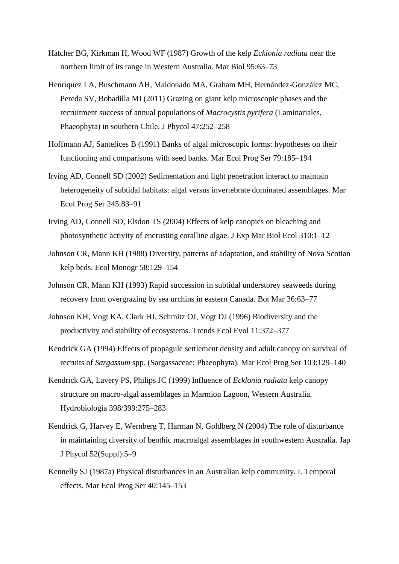- Hatcher BG, Kirkman H, Wood WF (1987) Growth of the kelp *Ecklonia radiata* near the northern limit of its range in Western Australia. Mar Biol 95:63–73
- Henríquez LA, Buschmann AH, Maldonado MA, Graham MH, Hernández-González MC, Pereda SV, Bobadilla MI (2011) Grazing on giant kelp microscopic phases and the recruitment success of annual populations of *Macrocystis pyrifera* (Laminariales, Phaeophyta) in southern Chile. J Phycol 47:252–258
- Hoffmann AJ, Santelices B (1991) Banks of algal microscopic forms: hypotheses on their functioning and comparisons with seed banks. Mar Ecol Prog Ser 79:185–194
- Irving AD, Connell SD (2002) Sedimentation and light penetration interact to maintain heterogeneity of subtidal habitats: algal versus invertebrate dominated assemblages. Mar Ecol Prog Ser 245:83–91
- Irving AD, Connell SD, Elsdon TS (2004) Effects of kelp canopies on bleaching and photosynthetic activity of encrusting coralline algae. J Exp Mar Biol Ecol 310:1–12
- Johnson CR, Mann KH (1988) Diversity, patterns of adaptation, and stability of Nova Scotian kelp beds. Ecol Monogr 58:129–154
- Johnson CR, Mann KH (1993) Rapid succession in subtidal understorey seaweeds during recovery from overgrazing by sea urchins in eastern Canada. Bot Mar 36:63–77
- Johnson KH, Vogt KA, Clark HJ, Schmitz OJ, Vogt DJ (1996) Biodiversity and the productivity and stability of ecosystems. Trends Ecol Evol 11:372–377
- Kendrick GA (1994) Effects of propagule settlement density and adult canopy on survival of recruits of *Sargassum* spp. (Sargassaceae: Phaeophyta). Mar Ecol Prog Ser 103:129–140
- Kendrick GA, Lavery PS, Philips JC (1999) Influence of *Ecklonia radiata* kelp canopy structure on macro-algal assemblages in Marmion Lagoon, Western Australia. Hydrobiologia 398/399:275–283
- Kendrick G, Harvey E, Wernberg T, Harman N, Goldberg N (2004) The role of disturbance in maintaining diversity of benthic macroalgal assemblages in southwestern Australia. Jap J Phycol 52(Suppl):5–9
- Kennelly SJ (1987a) Physical disturbances in an Australian kelp community. I. Temporal effects. Mar Ecol Prog Ser 40:145–153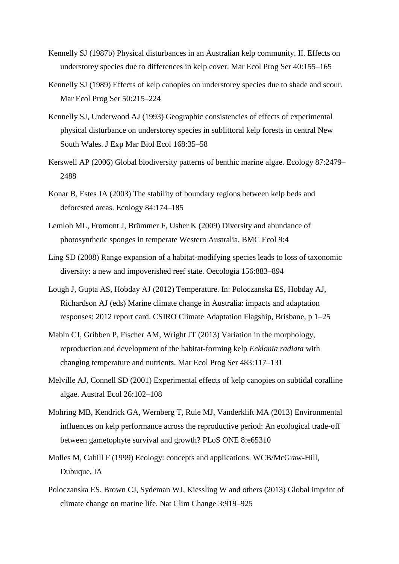- Kennelly SJ (1987b) Physical disturbances in an Australian kelp community. II. Effects on understorey species due to differences in kelp cover. Mar Ecol Prog Ser 40:155–165
- Kennelly SJ (1989) Effects of kelp canopies on understorey species due to shade and scour. Mar Ecol Prog Ser 50:215–224
- Kennelly SJ, Underwood AJ (1993) Geographic consistencies of effects of experimental physical disturbance on understorey species in sublittoral kelp forests in central New South Wales. J Exp Mar Biol Ecol 168:35–58
- Kerswell AP (2006) Global biodiversity patterns of benthic marine algae. Ecology 87:2479– 2488
- Konar B, Estes JA (2003) The stability of boundary regions between kelp beds and deforested areas. Ecology 84:174–185
- Lemloh ML, Fromont J, Brümmer F, Usher K (2009) Diversity and abundance of photosynthetic sponges in temperate Western Australia. BMC Ecol 9:4
- Ling SD (2008) Range expansion of a habitat-modifying species leads to loss of taxonomic diversity: a new and impoverished reef state. Oecologia 156:883–894
- Lough J, Gupta AS, Hobday AJ (2012) Temperature. In: Poloczanska ES, Hobday AJ, Richardson AJ (eds) Marine climate change in Australia: impacts and adaptation responses: 2012 report card. CSIRO Climate Adaptation Flagship, Brisbane, p 1–25
- Mabin CJ, Gribben P, Fischer AM, Wright JT (2013) Variation in the morphology, reproduction and development of the habitat-forming kelp *Ecklonia radiata* with changing temperature and nutrients. Mar Ecol Prog Ser 483:117–131
- Melville AJ, Connell SD (2001) Experimental effects of kelp canopies on subtidal coralline algae. Austral Ecol 26:102–108
- Mohring MB, Kendrick GA, Wernberg T, Rule MJ, Vanderklift MA (2013) Environmental influences on kelp performance across the reproductive period: An ecological trade-off between gametophyte survival and growth? PLoS ONE 8:e65310
- Molles M, Cahill F (1999) Ecology: concepts and applications. WCB/McGraw-Hill, Dubuque, IA
- Poloczanska ES, Brown CJ, Sydeman WJ, Kiessling W and others (2013) Global imprint of climate change on marine life. Nat Clim Change 3:919–925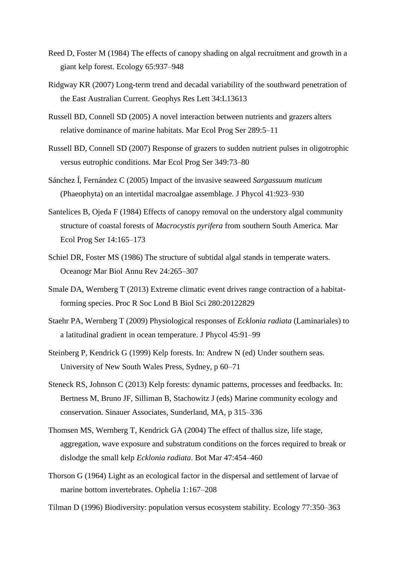- Reed D, Foster M (1984) The effects of canopy shading on algal recruitment and growth in a giant kelp forest. Ecology 65:937–948
- Ridgway KR (2007) Long-term trend and decadal variability of the southward penetration of the East Australian Current. Geophys Res Lett 34:L13613
- Russell BD, Connell SD (2005) A novel interaction between nutrients and grazers alters relative dominance of marine habitats. Mar Ecol Prog Ser 289:5–11
- Russell BD, Connell SD (2007) Response of grazers to sudden nutrient pulses in oligotrophic versus eutrophic conditions. Mar Ecol Prog Ser 349:73–80
- Sánchez Í, Fernández C (2005) Impact of the invasive seaweed *Sargassuum muticum* (Phaeophyta) on an intertidal macroalgae assemblage. J Phycol 41:923–930
- Santelices B, Ojeda F (1984) Effects of canopy removal on the understory algal community structure of coastal forests of *Macrocystis pyrifera* from southern South America. Mar Ecol Prog Ser 14:165–173
- Schiel DR, Foster MS (1986) The structure of subtidal algal stands in temperate waters. Oceanogr Mar Biol Annu Rev 24:265–307
- Smale DA, Wernberg T (2013) Extreme climatic event drives range contraction of a habitatforming species. Proc R Soc Lond B Biol Sci 280:20122829
- Staehr PA, Wernberg T (2009) Physiological responses of *Ecklonia radiata* (Laminariales) to a latitudinal gradient in ocean temperature. J Phycol 45:91–99
- Steinberg P, Kendrick G (1999) Kelp forests. In: Andrew N (ed) Under southern seas. University of New South Wales Press, Sydney, p 60–71
- Steneck RS, Johnson C (2013) Kelp forests: dynamic patterns, processes and feedbacks. In: Bertness M, Bruno JF, Silliman B, Stachowitz J (eds) Marine community ecology and conservation. Sinauer Associates, Sunderland, MA, p 315–336
- Thomsen MS, Wernberg T, Kendrick GA (2004) The effect of thallus size, life stage, aggregation, wave exposure and substratum conditions on the forces required to break or dislodge the small kelp *Ecklonia radiata*. Bot Mar 47:454–460
- Thorson G (1964) Light as an ecological factor in the dispersal and settlement of larvae of marine bottom invertebrates. Ophelia 1:167–208
- Tilman D (1996) Biodiversity: population versus ecosystem stability. Ecology 77:350–363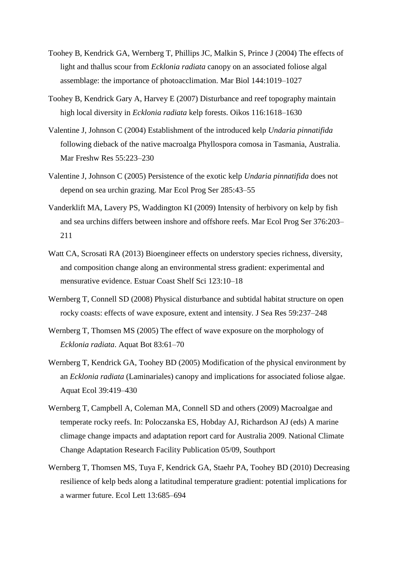- Toohey B, Kendrick GA, Wernberg T, Phillips JC, Malkin S, Prince J (2004) The effects of light and thallus scour from *Ecklonia radiata* canopy on an associated foliose algal assemblage: the importance of photoacclimation. Mar Biol 144:1019–1027
- Toohey B, Kendrick Gary A, Harvey E (2007) Disturbance and reef topography maintain high local diversity in *Ecklonia radiata* kelp forests. Oikos 116:1618–1630
- Valentine J, Johnson C (2004) Establishment of the introduced kelp *Undaria pinnatifida* following dieback of the native macroalga Phyllospora comosa in Tasmania, Australia. Mar Freshw Res 55:223–230
- Valentine J, Johnson C (2005) Persistence of the exotic kelp *Undaria pinnatifida* does not depend on sea urchin grazing. Mar Ecol Prog Ser 285:43–55
- Vanderklift MA, Lavery PS, Waddington KI (2009) Intensity of herbivory on kelp by fish and sea urchins differs between inshore and offshore reefs. Mar Ecol Prog Ser 376:203– 211
- Watt CA, Scrosati RA (2013) Bioengineer effects on understory species richness, diversity, and composition change along an environmental stress gradient: experimental and mensurative evidence. Estuar Coast Shelf Sci 123:10–18
- Wernberg T, Connell SD (2008) Physical disturbance and subtidal habitat structure on open rocky coasts: effects of wave exposure, extent and intensity. J Sea Res 59:237–248
- Wernberg T, Thomsen MS (2005) The effect of wave exposure on the morphology of *Ecklonia radiata*. Aquat Bot 83:61–70
- Wernberg T, Kendrick GA, Toohey BD (2005) Modification of the physical environment by an *Ecklonia radiata* (Laminariales) canopy and implications for associated foliose algae. Aquat Ecol 39:419–430
- Wernberg T, Campbell A, Coleman MA, Connell SD and others (2009) Macroalgae and temperate rocky reefs. In: Poloczanska ES, Hobday AJ, Richardson AJ (eds) A marine climage change impacts and adaptation report card for Australia 2009. National Climate Change Adaptation Research Facility Publication 05/09, Southport
- Wernberg T, Thomsen MS, Tuya F, Kendrick GA, Staehr PA, Toohey BD (2010) Decreasing resilience of kelp beds along a latitudinal temperature gradient: potential implications for a warmer future. Ecol Lett 13:685–694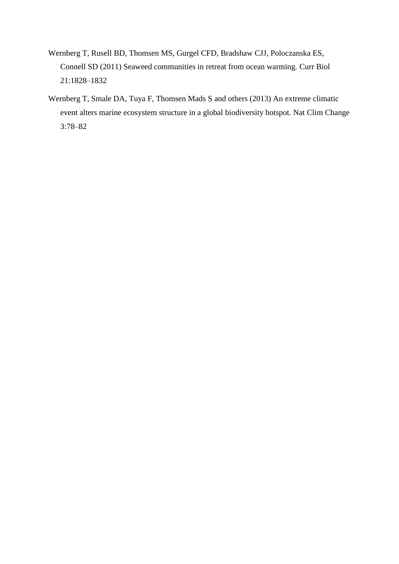- Wernberg T, Rusell BD, Thomsen MS, Gurgel CFD, Bradshaw CJJ, Poloczanska ES, Connell SD (2011) Seaweed communities in retreat from ocean warming. Curr Biol 21:1828–1832
- Wernberg T, Smale DA, Tuya F, Thomsen Mads S and others (2013) An extreme climatic event alters marine ecosystem structure in a global biodiversity hotspot. Nat Clim Change 3:78–82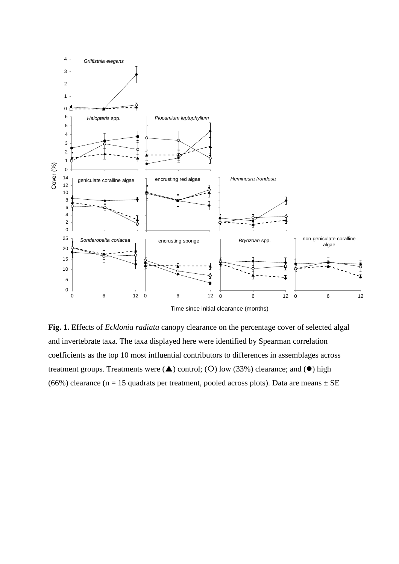

**Fig. 1.** Effects of *Ecklonia radiata* canopy clearance on the percentage cover of selected algal and invertebrate taxa. The taxa displayed here were identified by Spearman correlation coefficients as the top 10 most influential contributors to differences in assemblages across treatment groups. Treatments were  $(\triangle)$  control; (O) low (33%) clearance; and  $(\bullet)$  high (66%) clearance (n = 15 quadrats per treatment, pooled across plots). Data are means  $\pm$  SE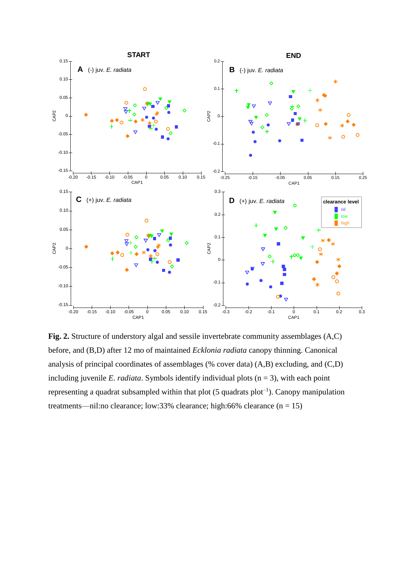

**Fig. 2.** Structure of understory algal and sessile invertebrate community assemblages (A,C) before, and (B,D) after 12 mo of maintained *Ecklonia radiata* canopy thinning. Canonical analysis of principal coordinates of assemblages (% cover data) (A,B) excluding, and (C,D) including juvenile *E. radiata*. Symbols identify individual plots  $(n = 3)$ , with each point representing a quadrat subsampled within that plot  $(5 \text{ quadrats plot}^{-1})$ . Canopy manipulation treatments—nil:no clearance; low:33% clearance; high:66% clearance  $(n = 15)$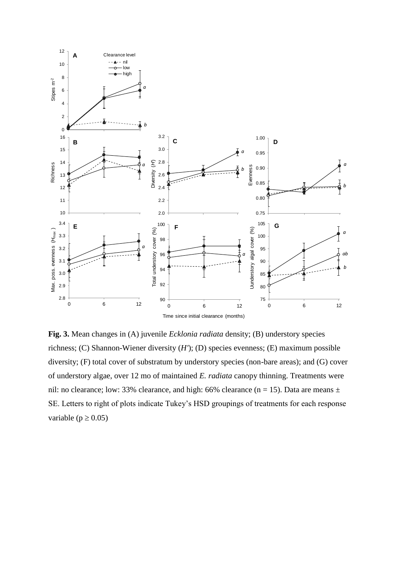

**Fig. 3.** Mean changes in (A) juvenile *Ecklonia radiata* density; (B) understory species richness; (C) Shannon-Wiener diversity (*H'*); (D) species evenness; (E) maximum possible diversity; (F) total cover of substratum by understory species (non-bare areas); and (G) cover of understory algae, over 12 mo of maintained *E. radiata* canopy thinning. Treatments were nil: no clearance; low: 33% clearance, and high: 66% clearance (n = 15). Data are means  $\pm$ SE. Letters to right of plots indicate Tukey's HSD groupings of treatments for each response variable ( $p \ge 0.05$ )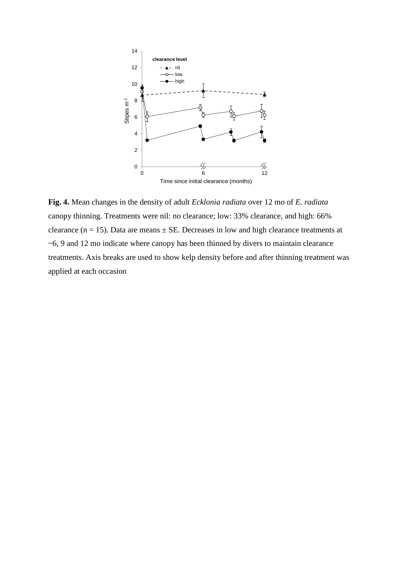

**Fig. 4.** Mean changes in the density of adult *Ecklonia radiata* over 12 mo of *E. radiata* canopy thinning. Treatments were nil: no clearance; low: 33% clearance, and high: 66% clearance ( $n = 15$ ). Data are means  $\pm$  SE. Decreases in low and high clearance treatments at ~6, 9 and 12 mo indicate where canopy has been thinned by divers to maintain clearance treatments. Axis breaks are used to show kelp density before and after thinning treatment was applied at each occasion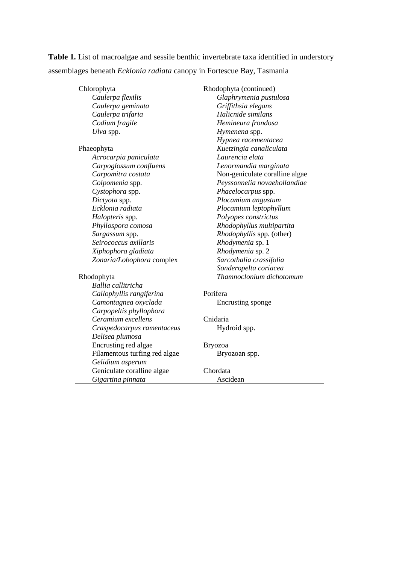**Table 1.** List of macroalgae and sessile benthic invertebrate taxa identified in understory assemblages beneath *Ecklonia radiata* canopy in Fortescue Bay, Tasmania

| Chlorophyta                   | Rhodophyta (continued)         |  |  |  |  |  |  |
|-------------------------------|--------------------------------|--|--|--|--|--|--|
| Caulerpa flexilis             | Glaphrymenia pustulosa         |  |  |  |  |  |  |
| Caulerpa geminata             | Griffithsia elegans            |  |  |  |  |  |  |
| Caulerpa trifaria             | Halicnide similans             |  |  |  |  |  |  |
| Codium fragile                | Hemineura frondosa             |  |  |  |  |  |  |
| Ulva spp.                     | Hymenena spp.                  |  |  |  |  |  |  |
|                               | Hypnea racementacea            |  |  |  |  |  |  |
| Phaeophyta                    | Kuetzingia canaliculata        |  |  |  |  |  |  |
| Acrocarpia paniculata         | Laurencia elata                |  |  |  |  |  |  |
| Carpoglossum confluens        | Lenormandia marginata          |  |  |  |  |  |  |
| Carpomitra costata            | Non-geniculate coralline algae |  |  |  |  |  |  |
| Colpomenia spp.               | Peyssonnelia novaehollandiae   |  |  |  |  |  |  |
| Cystophora spp.               | Phacelocarpus spp.             |  |  |  |  |  |  |
| Dictyota spp.                 | Plocamium angustum             |  |  |  |  |  |  |
| Ecklonia radiata              | Plocamium leptophyllum         |  |  |  |  |  |  |
| Halopteris spp.               | Polyopes constrictus           |  |  |  |  |  |  |
| Phyllospora comosa            | Rhodophyllus multipartita      |  |  |  |  |  |  |
| Sargassum spp.                | Rhodophyllis spp. (other)      |  |  |  |  |  |  |
| Seirococcus axillaris         | Rhodymenia sp. 1               |  |  |  |  |  |  |
| Xiphophora gladiata           | Rhodymenia sp. 2               |  |  |  |  |  |  |
| Zonaria/Lobophora complex     | Sarcothalia crassifolia        |  |  |  |  |  |  |
|                               | Sonderopelta coriacea          |  |  |  |  |  |  |
| Rhodophyta                    | Thamnoclonium dichotomum       |  |  |  |  |  |  |
| Ballia callitricha            |                                |  |  |  |  |  |  |
| Callophyllis rangiferina      | Porifera                       |  |  |  |  |  |  |
| Camontagnea oxyclada          | Encrusting sponge              |  |  |  |  |  |  |
| Carpopeltis phyllophora       |                                |  |  |  |  |  |  |
| Ceramium excellens            | Cnidaria                       |  |  |  |  |  |  |
| Craspedocarpus ramentaceus    | Hydroid spp.                   |  |  |  |  |  |  |
| Delisea plumosa               |                                |  |  |  |  |  |  |
| Encrusting red algae          | <b>Bryozoa</b>                 |  |  |  |  |  |  |
| Filamentous turfing red algae | Bryozoan spp.                  |  |  |  |  |  |  |
| Gelidium asperum              |                                |  |  |  |  |  |  |
| Geniculate coralline algae    | Chordata                       |  |  |  |  |  |  |
| Gigartina pinnata             | Ascidean                       |  |  |  |  |  |  |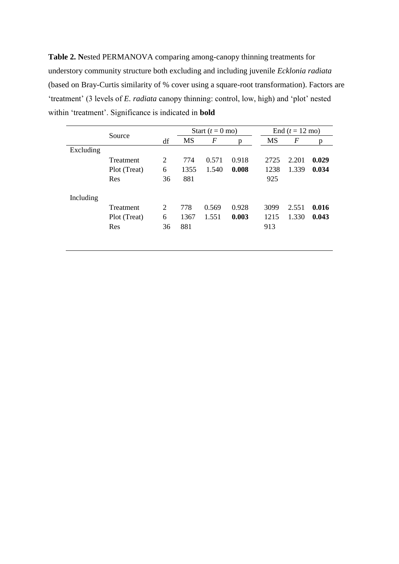**Table 2. N**ested PERMANOVA comparing among-canopy thinning treatments for understory community structure both excluding and including juvenile *Ecklonia radiata* (based on Bray-Curtis similarity of % cover using a square-root transformation). Factors are 'treatment' (3 levels of *E. radiata* canopy thinning: control, low, high) and 'plot' nested within 'treatment'. Significance is indicated in **bold**

|           | Source       |    |      | Start $(t = 0$ mo) |       |           | End $(t = 12 \text{ mo})$ |       |  |  |
|-----------|--------------|----|------|--------------------|-------|-----------|---------------------------|-------|--|--|
|           |              | df | MS   | $\boldsymbol{F}$   | p     | <b>MS</b> | $\overline{F}$            | p     |  |  |
| Excluding |              |    |      |                    |       |           |                           |       |  |  |
|           | Treatment    | 2  | 774  | 0.571              | 0.918 | 2725      | 2.201                     | 0.029 |  |  |
|           | Plot (Treat) | 6  | 1355 | 1.540              | 0.008 | 1238      | 1.339                     | 0.034 |  |  |
|           | Res          | 36 | 881  |                    |       | 925       |                           |       |  |  |
| Including |              |    |      |                    |       |           |                           |       |  |  |
|           | Treatment    | 2  | 778  | 0.569              | 0.928 | 3099      | 2.551                     | 0.016 |  |  |
|           | Plot (Treat) | 6  | 1367 | 1.551              | 0.003 | 1215      | 1.330                     | 0.043 |  |  |
|           | Res          | 36 | 881  |                    |       | 913       |                           |       |  |  |
|           |              |    |      |                    |       |           |                           |       |  |  |